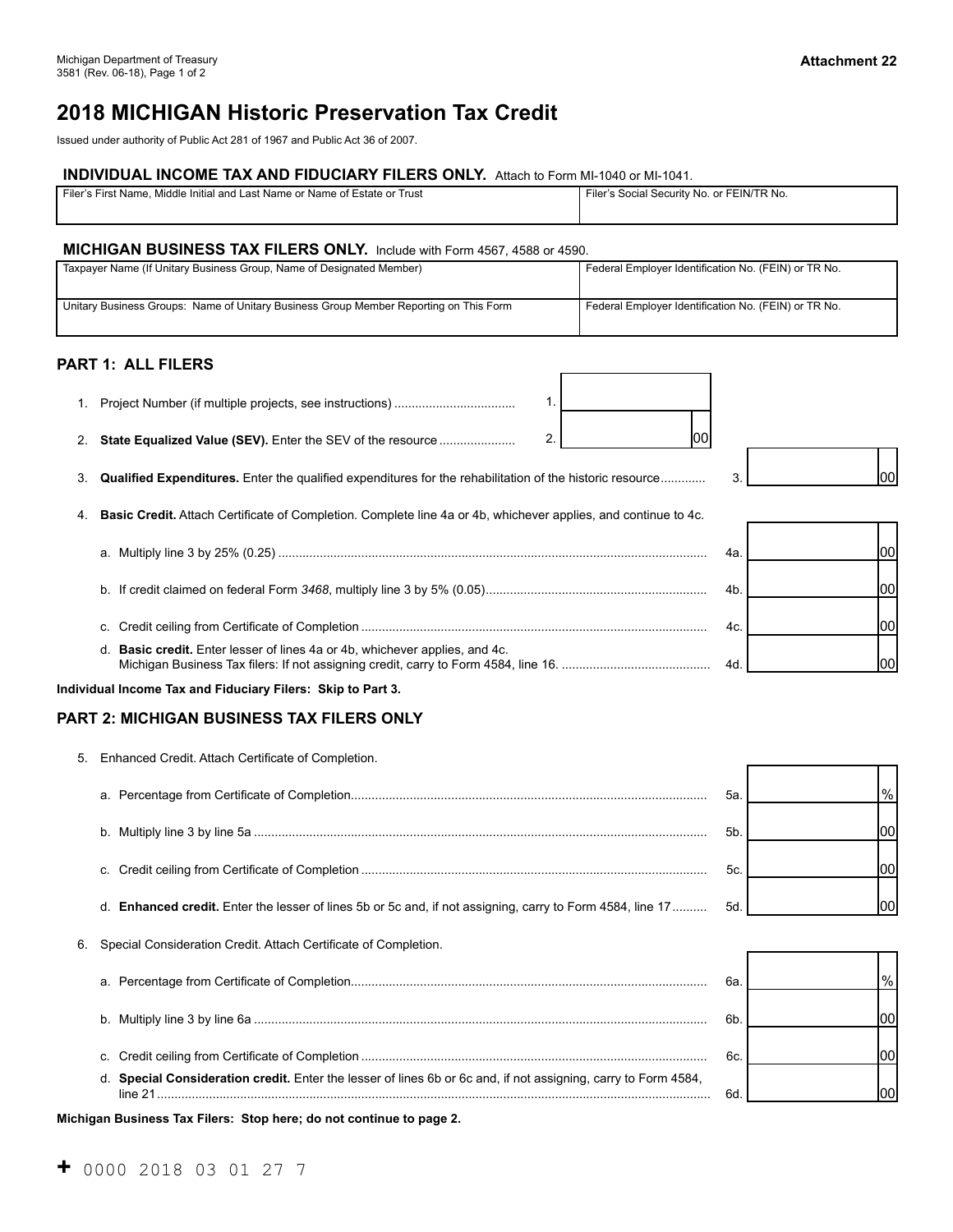# **2018 MICHIGAN Historic Preservation Tax Credit**

Issued under authority of Public Act 281 of 1967 and Public Act 36 of 2007.

## **INDIVIDUAL INCOME TAX AND FIDUCIARY FILERS ONLY.** Attach to Form MI-1040 or MI-1041.

| Filer's First Name. Middle Initial and Last Name or Name of Estate or Trust | Filer's Social Security No. or FEIN/TR No. |
|-----------------------------------------------------------------------------|--------------------------------------------|
|                                                                             |                                            |
|                                                                             |                                            |
|                                                                             |                                            |

#### **MICHIGAN BUSINESS TAX FILERS ONLY.** Include with Form 4567, 4588 or 4590.

| Taxpayer Name (If Unitary Business Group, Name of Designated Member)                  | Federal Employer Identification No. (FEIN) or TR No. |
|---------------------------------------------------------------------------------------|------------------------------------------------------|
| Unitary Business Groups: Name of Unitary Business Group Member Reporting on This Form | Federal Employer Identification No. (FEIN) or TR No. |

#### **PART 1: ALL FILERS**

| 2. | 2<br>100<br>State Equalized Value (SEV). Enter the SEV of the resource                                         |     |    |
|----|----------------------------------------------------------------------------------------------------------------|-----|----|
| 3. | Qualified Expenditures. Enter the qualified expenditures for the rehabilitation of the historic resource       | 3.  |    |
|    | Basic Credit. Attach Certificate of Completion. Complete line 4a or 4b, whichever applies, and continue to 4c. |     |    |
|    |                                                                                                                | 4а. |    |
|    | b.                                                                                                             | 4b. | ЮC |
|    | C.                                                                                                             | 4c. | ЮC |
|    | d. <b>Basic credit.</b> Enter lesser of lines 4a or 4b, whichever applies, and 4c.                             | 4d. |    |
|    | Individual Income Tax and Fiduciary Filers: Skip to Part 3.                                                    |     |    |

#### **PART 2: MICHIGAN BUSINESS TAX FILERS ONLY**

| 5. Enhanced Credit. Attach Certificate of Completion.                                                     |                |               |
|-----------------------------------------------------------------------------------------------------------|----------------|---------------|
|                                                                                                           | 5a             | $\frac{9}{6}$ |
|                                                                                                           | 5 <sub>b</sub> |               |
|                                                                                                           | 5c.            |               |
| d. Enhanced credit. Enter the lesser of lines 5b or 5c and, if not assigning, carry to Form 4584, line 17 | 5d             |               |
| 6. Special Consideration Credit. Attach Certificate of Completion.                                        |                |               |

|                                                                                                                        | 6а |  |
|------------------------------------------------------------------------------------------------------------------------|----|--|
|                                                                                                                        | 6ŀ |  |
|                                                                                                                        | 6c |  |
| Special Consideration credit. Enter the lesser of lines 6b or 6c and, if not assigning, carry to Form 4584,<br>line 21 | 6с |  |

**Michigan Business Tax Filers: Stop here; do not continue to page 2.**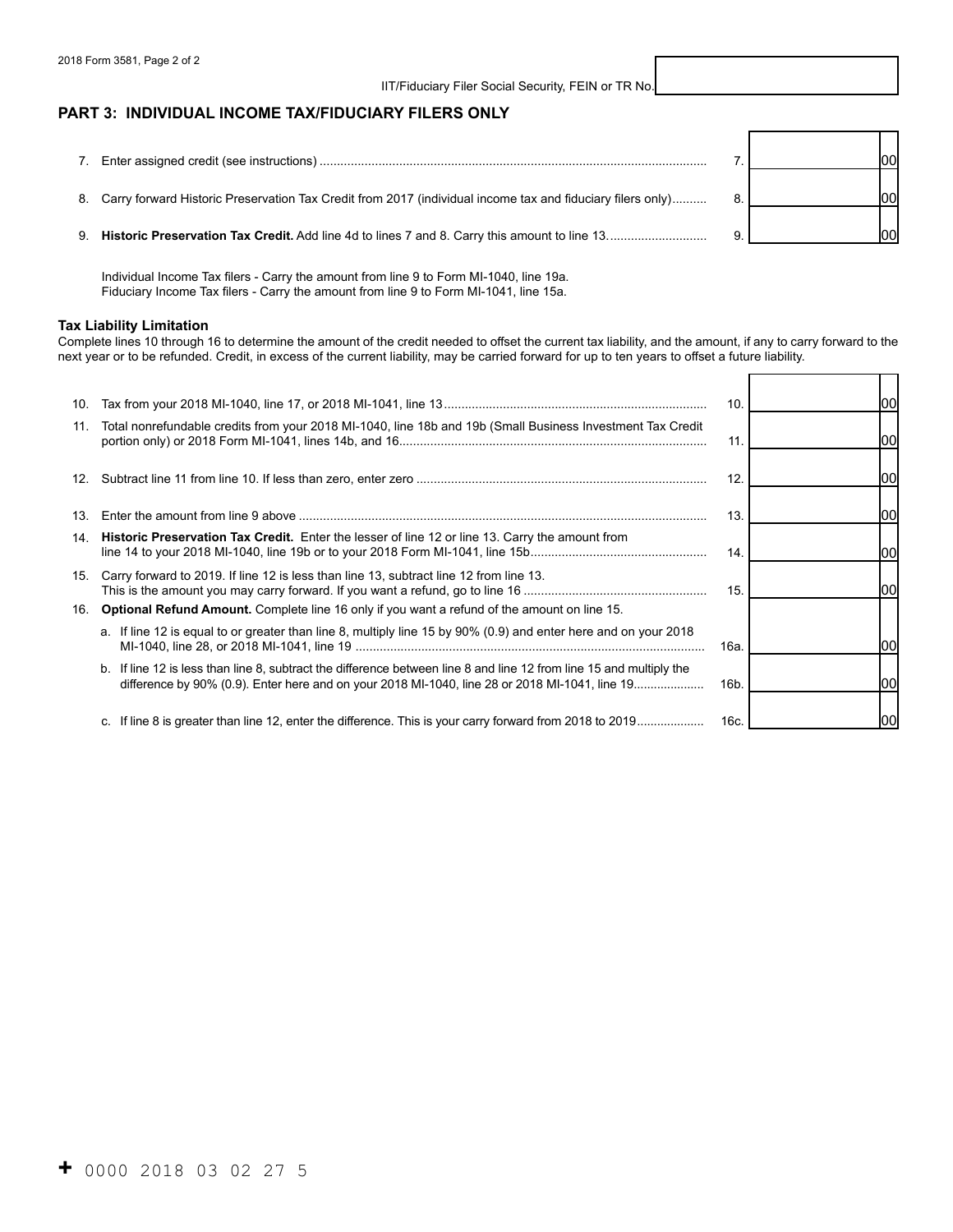#### IIT/Fiduciary Filer Social Security, FEIN or TR No.

#### **PART 3: INDIVIDUAL INCOME TAX/FIDUCIARY FILERS ONLY**

|                                                                                                               | Inc |
|---------------------------------------------------------------------------------------------------------------|-----|
| 8. Carry forward Historic Preservation Tax Credit from 2017 (individual income tax and fiduciary filers only) | loc |
|                                                                                                               | Inn |

Individual Income Tax filers - Carry the amount from line 9 to Form MI-1040, line 19a. Fiduciary Income Tax filers - Carry the amount from line 9 to Form MI-1041, line 15a.

#### **Tax Liability Limitation**

Complete lines 10 through 16 to determine the amount of the credit needed to offset the current tax liability, and the amount, if any to carry forward to the next year or to be refunded. Credit, in excess of the current liability, may be carried forward for up to ten years to offset a future liability.

| 10.        |                                                                                                                                                                                                                       | 10.             |     |
|------------|-----------------------------------------------------------------------------------------------------------------------------------------------------------------------------------------------------------------------|-----------------|-----|
| 11.        | Total nonrefundable credits from your 2018 MI-1040, line 18b and 19b (Small Business Investment Tax Credit                                                                                                            | 11.             |     |
|            |                                                                                                                                                                                                                       | 12.             |     |
| 13.        |                                                                                                                                                                                                                       | 13.             |     |
|            | 14. Historic Preservation Tax Credit. Enter the lesser of line 12 or line 13. Carry the amount from                                                                                                                   | 14.             | 100 |
| 15.<br>16. | Carry forward to 2019. If line 12 is less than line 13, subtract line 12 from line 13.<br><b>Optional Refund Amount.</b> Complete line 16 only if you want a refund of the amount on line 15.                         | 15.             | 100 |
|            | a. If line 12 is equal to or greater than line 8, multiply line 15 by 90% (0.9) and enter here and on your 2018                                                                                                       | 16a.            |     |
|            | b. If line 12 is less than line 8, subtract the difference between line 8 and line 12 from line 15 and multiply the<br>difference by 90% (0.9). Enter here and on your 2018 MI-1040, line 28 or 2018 MI-1041, line 19 | 16 <sub>b</sub> |     |
|            | c. If line 8 is greater than line 12, enter the difference. This is your carry forward from 2018 to 2019                                                                                                              | 16c.            |     |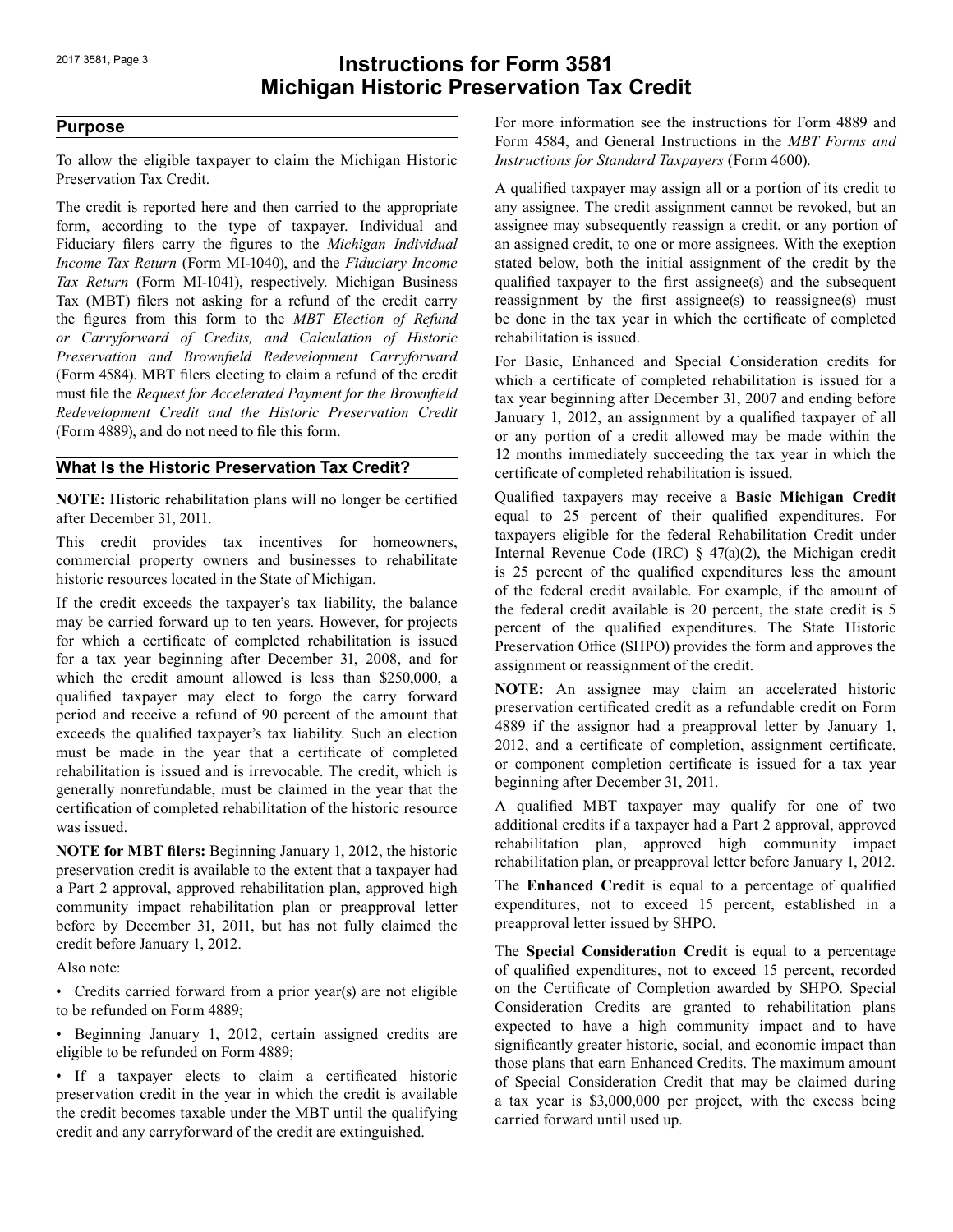# 2017 3581, Page 3 **Instructions for Form 3581 Michigan Historic Preservation Tax Credit**

### **Purpose**

To allow the eligible taxpayer to claim the Michigan Historic Preservation Tax Credit.

 *Preservation and Brownfield Redevelopment Carryforward* The credit is reported here and then carried to the appropriate form, according to the type of taxpayer. Individual and Fiduciary filers carry the figures to the *Michigan Individual Income Tax Return* (Form MI-1040), and the *Fiduciary Income Tax Return* (Form MI-1041), respectively. Michigan Business Tax (MBT) filers not asking for a refund of the credit carry the figures from this form to the *MBT Election of Refund or Carryforward of Credits, and Calculation of Historic*  (Form 4584). MBT filers electing to claim a refund of the credit must file the *Request for Accelerated Payment for the Brownfield Redevelopment Credit and the Historic Preservation Credit* (Form 4889), and do not need to file this form.

#### **What Is the Historic Preservation Tax Credit?**

**NOTE:** Historic rehabilitation plans will no longer be certified after December 31, 2011.

This credit provides tax incentives for homeowners, commercial property owners and businesses to rehabilitate historic resources located in the State of Michigan.

If the credit exceeds the taxpayer's tax liability, the balance may be carried forward up to ten years. However, for projects for which a certificate of completed rehabilitation is issued for a tax year beginning after December 31, 2008, and for which the credit amount allowed is less than \$250,000, a qualified taxpayer may elect to forgo the carry forward period and receive a refund of 90 percent of the amount that exceeds the qualified taxpayer's tax liability. Such an election must be made in the year that a certificate of completed rehabilitation is issued and is irrevocable. The credit, which is generally nonrefundable, must be claimed in the year that the certification of completed rehabilitation of the historic resource was issued.

**NOTE for MBT filers:** Beginning January 1, 2012, the historic preservation credit is available to the extent that a taxpayer had a Part 2 approval, approved rehabilitation plan, approved high community impact rehabilitation plan or preapproval letter before by December 31, 2011, but has not fully claimed the credit before January 1, 2012.

Also note:

• Credits carried forward from a prior year(s) are not eligible to be refunded on Form 4889;

• Beginning January 1, 2012, certain assigned credits are eligible to be refunded on Form 4889;

• If a taxpayer elects to claim a certificated historic preservation credit in the year in which the credit is available the credit becomes taxable under the MBT until the qualifying credit and any carryforward of the credit are extinguished.

For more information see the instructions for Form 4889 and Form 4584, and General Instructions in the *MBT Forms and Instructions for Standard Taxpayers* (Form 4600).

A qualified taxpayer may assign all or a portion of its credit to any assignee. The credit assignment cannot be revoked, but an assignee may subsequently reassign a credit, or any portion of an assigned credit, to one or more assignees. With the exeption stated below, both the initial assignment of the credit by the qualified taxpayer to the first assignee(s) and the subsequent reassignment by the first assignee(s) to reassignee(s) must be done in the tax year in which the certificate of completed rehabilitation is issued.

For Basic, Enhanced and Special Consideration credits for which a certificate of completed rehabilitation is issued for a tax year beginning after December 31, 2007 and ending before January 1, 2012, an assignment by a qualified taxpayer of all or any portion of a credit allowed may be made within the 12 months immediately succeeding the tax year in which the certificate of completed rehabilitation is issued.

 Qualified taxpayers may receive a **Basic Michigan Credit** equal to 25 percent of their qualified expenditures. For taxpayers eligible for the federal Rehabilitation Credit under Internal Revenue Code (IRC) § 47(a)(2), the Michigan credit is 25 percent of the qualified expenditures less the amount of the federal credit available. For example, if the amount of the federal credit available is 20 percent, the state credit is 5 percent of the qualified expenditures. The State Historic Preservation Office (SHPO) provides the form and approves the assignment or reassignment of the credit.

**NOTE:** An assignee may claim an accelerated historic preservation certificated credit as a refundable credit on Form 4889 if the assignor had a preapproval letter by January 1, 2012, and a certificate of completion, assignment certificate, or component completion certificate is issued for a tax year beginning after December 31, 2011.

A qualified MBT taxpayer may qualify for one of two additional credits if a taxpayer had a Part 2 approval, approved rehabilitation plan, approved high community impact rehabilitation plan, or preapproval letter before January 1, 2012.

The **Enhanced Credit** is equal to a percentage of qualified expenditures, not to exceed 15 percent, established in a preapproval letter issued by SHPO.

The **Special Consideration Credit** is equal to a percentage of qualified expenditures, not to exceed 15 percent, recorded on the Certificate of Completion awarded by SHPO. Special Consideration Credits are granted to rehabilitation plans expected to have a high community impact and to have significantly greater historic, social, and economic impact than those plans that earn Enhanced Credits. The maximum amount of Special Consideration Credit that may be claimed during a tax year is \$3,000,000 per project, with the excess being carried forward until used up.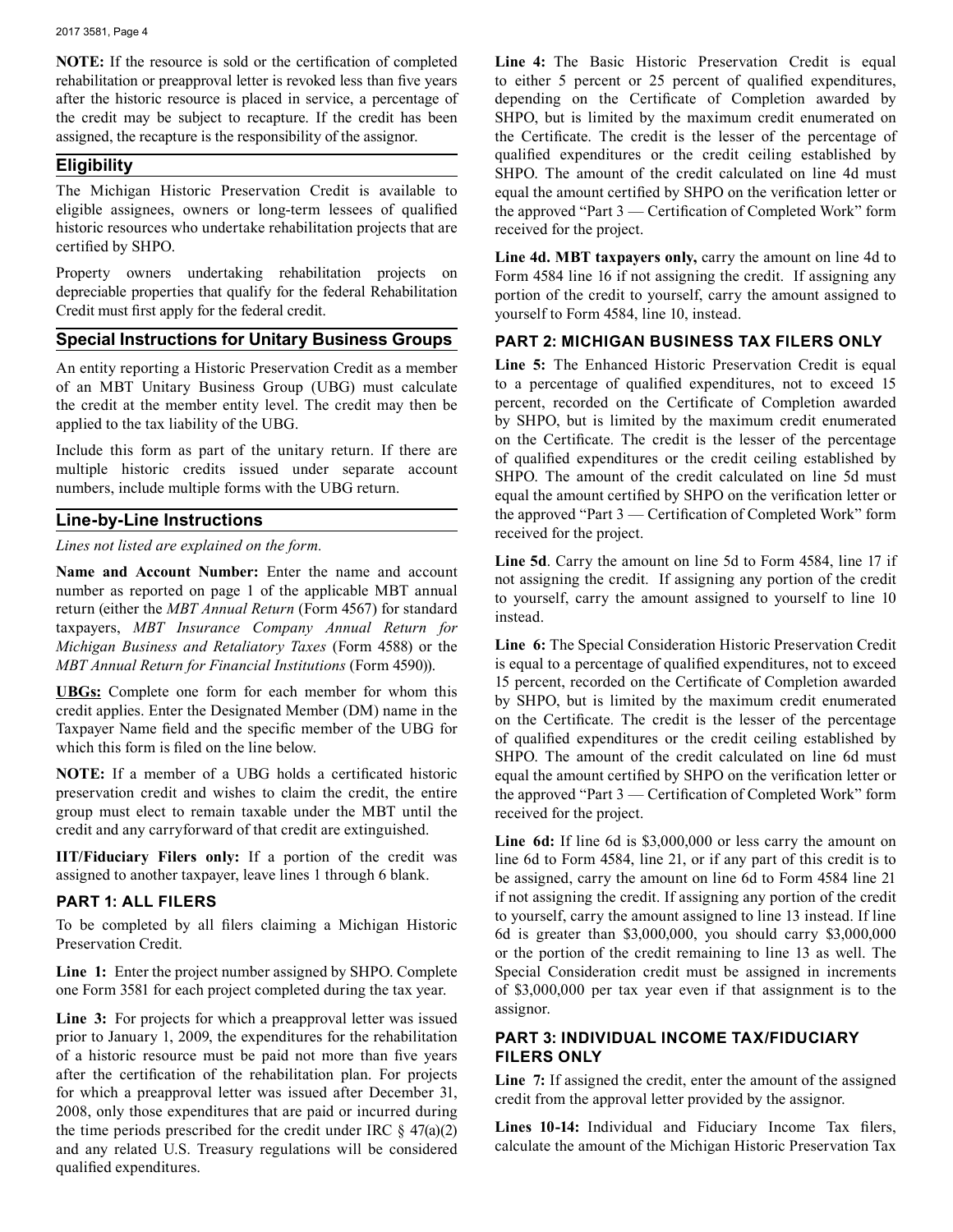**NOTE:** If the resource is sold or the certification of completed rehabilitation or preapproval letter is revoked less than five years after the historic resource is placed in service, a percentage of the credit may be subject to recapture. If the credit has been assigned, the recapture is the responsibility of the assignor.

#### **Eligibility**

The Michigan Historic Preservation Credit is available to eligible assignees, owners or long-term lessees of qualified historic resources who undertake rehabilitation projects that are certified by SHPO.

Property owners undertaking rehabilitation projects on depreciable properties that qualify for the federal Rehabilitation Credit must first apply for the federal credit.

#### **Special Instructions for Unitary Business Groups**

An entity reporting a Historic Preservation Credit as a member of an MBT Unitary Business Group (UBG) must calculate the credit at the member entity level. The credit may then be applied to the tax liability of the UBG.

Include this form as part of the unitary return. If there are multiple historic credits issued under separate account numbers, include multiple forms with the UBG return.

#### **Line-by-Line Instructions**

*Lines not listed are explained on the form.*

**Name and Account Number:** Enter the name and account number as reported on page 1 of the applicable MBT annual return (either the *MBT Annual Return* (Form 4567) for standard taxpayers, *MBT Insurance Company Annual Return for Michigan Business and Retaliatory Taxes* (Form 4588) or the *MBT Annual Return for Financial Institutions* (Form 4590)).

**UBGs:** Complete one form for each member for whom this credit applies. Enter the Designated Member (DM) name in the Taxpayer Name field and the specific member of the UBG for which this form is filed on the line below.

**NOTE:** If a member of a UBG holds a certificated historic preservation credit and wishes to claim the credit, the entire group must elect to remain taxable under the MBT until the credit and any carryforward of that credit are extinguished.

**IIT/Fiduciary Filers only:** If a portion of the credit was assigned to another taxpayer, leave lines 1 through 6 blank.

### **PART 1: ALL FILERS**

To be completed by all filers claiming a Michigan Historic Preservation Credit.

 **Line 1:** Enter the project number assigned by SHPO. Complete one Form 3581 for each project completed during the tax year.

 **Line 3:** For projects for which a preapproval letter was issued prior to January 1, 2009, the expenditures for the rehabilitation of a historic resource must be paid not more than five years after the certification of the rehabilitation plan. For projects for which a preapproval letter was issued after December 31, 2008, only those expenditures that are paid or incurred during the time periods prescribed for the credit under IRC  $\S$  47(a)(2) and any related U.S. Treasury regulations will be considered qualified expenditures.

Line 4: The Basic Historic Preservation Credit is equal to either 5 percent or 25 percent of qualified expenditures, depending on the Certificate of Completion awarded by SHPO, but is limited by the maximum credit enumerated on the Certificate. The credit is the lesser of the percentage of qualified expenditures or the credit ceiling established by SHPO. The amount of the credit calculated on line 4d must equal the amount certified by SHPO on the verification letter or the approved "Part 3 — Certification of Completed Work" form received for the project.

**Line 4d. MBT taxpayers only,** carry the amount on line 4d to Form 4584 line 16 if not assigning the credit. If assigning any portion of the credit to yourself, carry the amount assigned to yourself to Form 4584, line 10, instead.

#### **PART 2: MICHIGAN BUSINESS TAX FILERS ONLY**

 **Line 5:** The Enhanced Historic Preservation Credit is equal to a percentage of qualified expenditures, not to exceed 15 percent, recorded on the Certificate of Completion awarded by SHPO, but is limited by the maximum credit enumerated on the Certificate. The credit is the lesser of the percentage of qualified expenditures or the credit ceiling established by SHPO. The amount of the credit calculated on line 5d must equal the amount certified by SHPO on the verification letter or the approved "Part 3 — Certification of Completed Work" form received for the project.

**Line 5d**. Carry the amount on line 5d to Form 4584, line 17 if not assigning the credit. If assigning any portion of the credit to yourself, carry the amount assigned to yourself to line 10 instead.

**Line 6:** The Special Consideration Historic Preservation Credit is equal to a percentage of qualified expenditures, not to exceed 15 percent, recorded on the Certificate of Completion awarded by SHPO, but is limited by the maximum credit enumerated on the Certificate. The credit is the lesser of the percentage of qualified expenditures or the credit ceiling established by SHPO. The amount of the credit calculated on line 6d must equal the amount certified by SHPO on the verification letter or the approved "Part 3 — Certification of Completed Work" form received for the project.

**Line 6d:** If line 6d is \$3,000,000 or less carry the amount on line 6d to Form 4584, line 21, or if any part of this credit is to be assigned, carry the amount on line 6d to Form 4584 line 21 if not assigning the credit. If assigning any portion of the credit to yourself, carry the amount assigned to line 13 instead. If line 6d is greater than \$3,000,000, you should carry \$3,000,000 or the portion of the credit remaining to line 13 as well. The Special Consideration credit must be assigned in increments of \$3,000,000 per tax year even if that assignment is to the assignor.

#### **PART 3: INDIVIDUAL INCOME TAX/FIDUCIARY FILERS ONLY**

**Line 7:** If assigned the credit, enter the amount of the assigned credit from the approval letter provided by the assignor.

 **Lines 10-14:** Individual and Fiduciary Income Tax filers, calculate the amount of the Michigan Historic Preservation Tax